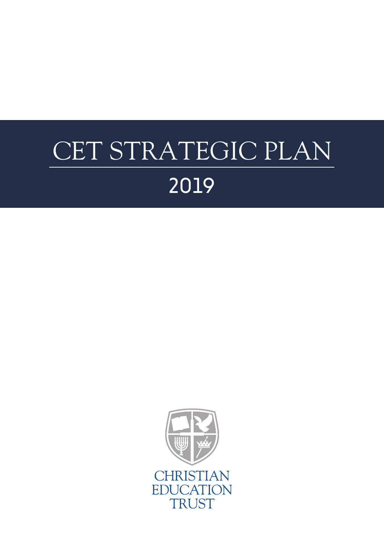# CET STRATEGIC PLAN 2019

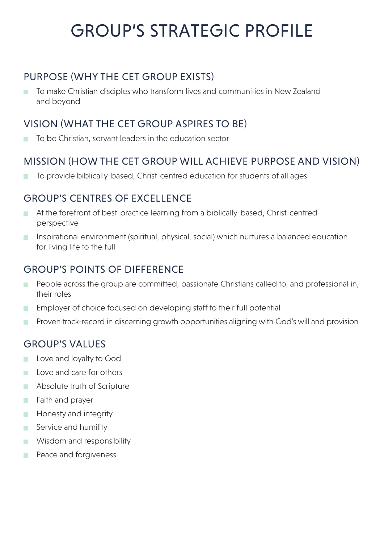# GROUP'S STRATEGIC PROFILE

#### PURPOSE (WHY THE CET GROUP EXISTS)

To make Christian disciples who transform lives and communities in New Zealand  $\mathcal{L}_{\mathcal{A}}$ and beyond

#### VISION (WHAT THE CET GROUP ASPIRES TO BE)

To be Christian, servant leaders in the education sector

#### MISSION (HOW THE CET GROUP WILL ACHIEVE PURPOSE AND VISION)

■ To provide biblically-based, Christ-centred education for students of all ages

#### GROUP'S CENTRES OF EXCELLENCE

- At the forefront of best-practice learning from a biblically-based, Christ-centred perspective
- Inspirational environment (spiritual, physical, social) which nurtures a balanced education for living life to the full

#### GROUP'S POINTS OF DIFFERENCE

- People across the group are committed, passionate Christians called to, and professional in, their roles
- **Employer of choice focused on developing staff to their full potential**
- Proven track-record in discerning growth opportunities aligning with God's will and provision П

#### GROUP'S VALUES

- **Love and loyalty to God**
- $\Box$  Love and care for others
- Absolute truth of Scripture
- Faith and prayer **T**
- **Honesty and integrity**
- Service and humility
- **Wisdom and responsibility**
- **Peace and forgiveness**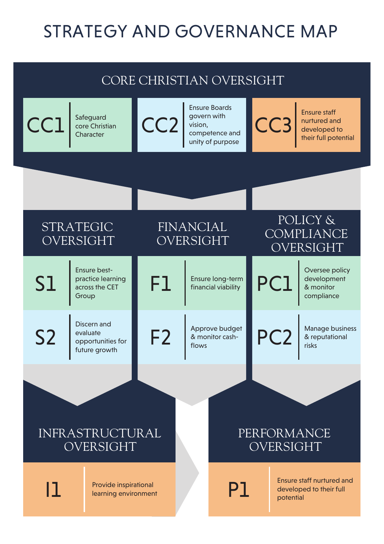# STRATEGY AND GOVERNANCE MAP

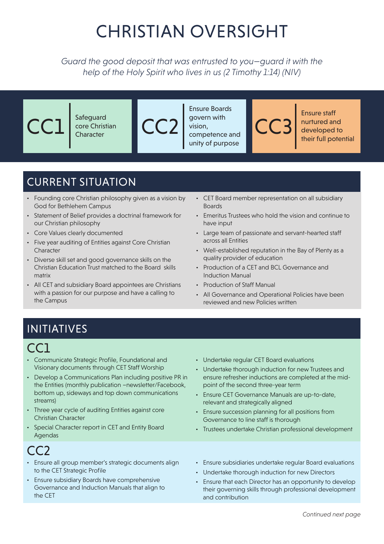# CHRISTIAN OVERSIGHT

*Guard the good deposit that was entrusted to you—guard it with the help of the Holy Spirit who lives in us (2 Timothy 1:14) (NIV)*

| Safeguard<br>core Christian<br>Character | <b>Ensure Boards</b><br>govern with<br>vision,<br>competence and<br>unity of purpose | <b>Ensure staff</b><br>nurtured and<br>developed to<br>their full potential |
|------------------------------------------|--------------------------------------------------------------------------------------|-----------------------------------------------------------------------------|
|                                          |                                                                                      |                                                                             |

### CURRENT SITUATION

- Founding core Christian philosophy given as a vision by God for Bethlehem Campus
- Statement of Belief provides a doctrinal framework for our Christian philosophy
- Core Values clearly documented
- Five year auditing of Entities against Core Christian Character
- Diverse skill set and good governance skills on the Christian Education Trust matched to the Board skills matrix
- All CET and subsidiary Board appointees are Christians with a passion for our purpose and have a calling to the Campus
- CET Board member representation on all subsidiary **Boards**
- Emeritus Trustees who hold the vision and continue to have input
- Large team of passionate and servant-hearted staff across all Entities
- Well-established reputation in the Bay of Plenty as a quality provider of education
- Production of a CET and BCL Governance and Induction Manual
- Production of Staff Manual
- All Governance and Operational Policies have been reviewed and new Policies written

### INITIATIVES

### CC1

- Communicate Strategic Profile, Foundational and Visionary documents through CET Staff Worship
- Develop a Communications Plan including positive PR in the Entities (monthly publication –newsletter/Facebook, bottom up, sideways and top down communications streams)
- Three year cycle of auditing Entities against core Christian Character
- Special Character report in CET and Entity Board Agendas

### CC<sub>2</sub>

- Ensure all group member's strategic documents align to the CET Strategic Profile
- Ensure subsidiary Boards have comprehensive Governance and Induction Manuals that align to the CET
- Undertake regular CET Board evaluations
- Undertake thorough induction for new Trustees and ensure refresher inductions are completed at the midpoint of the second three-year term
- Ensure CET Governance Manuals are up-to-date, relevant and strategically aligned
- Ensure succession planning for all positions from Governance to line staff is thorough
- Trustees undertake Christian professional development
- Ensure subsidiaries undertake regular Board evaluations
- Undertake thorough induction for new Directors
- Ensure that each Director has an opportunity to develop their governing skills through professional development and contribution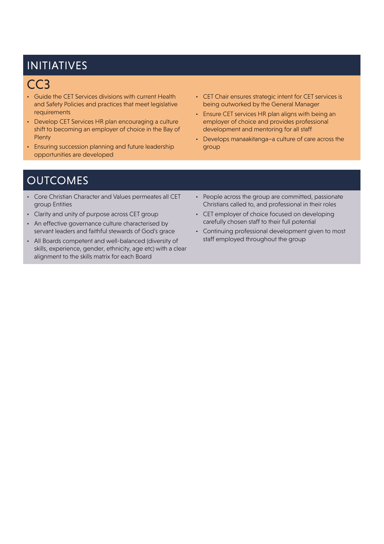### INITIATIVES

### CC3

- Guide the CET Services divisions with current Health and Safety Policies and practices that meet legislative requirements
- Develop CET Services HR plan encouraging a culture shift to becoming an employer of choice in the Bay of **Plenty**
- Ensuring succession planning and future leadership opportunities are developed
- CET Chair ensures strategic intent for CET services is being outworked by the General Manager
- Ensure CET services HR plan aligns with being an employer of choice and provides professional development and mentoring for all staff
- Develops manaakitanga–a culture of care across the group

- Core Christian Character and Values permeates all CET group Entities
- Clarity and unity of purpose across CET group
- An effective governance culture characterised by servant leaders and faithful stewards of God's grace
- All Boards competent and well-balanced (diversity of skills, experience, gender, ethnicity, age etc) with a clear alignment to the skills matrix for each Board
- People across the group are committed, passionate Christians called to, and professional in their roles
- CET employer of choice focused on developing carefully chosen staff to their full potential
- Continuing professional development given to most staff employed throughout the group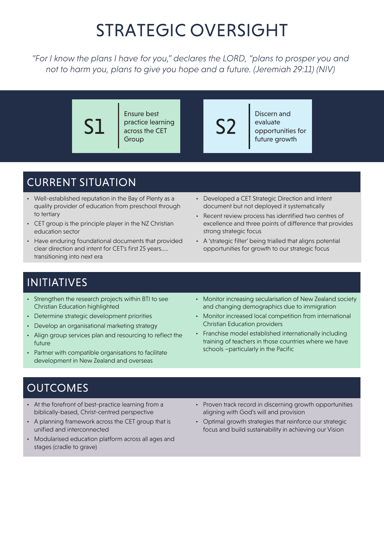## STRATEGIC OVERSIGHT

*"For I know the plans I have for you," declares the LORD, "plans to prosper you and not to harm you, plans to give you hope and a future. (Jeremiah 29:11) (NIV)*

S1 Ensure best practice learning across the CET **Group** S2 Discern and evaluate opportunities for future growth

### CURRENT SITUATION

- Well-established reputation in the Bay of Plenty as a quality provider of education from preschool through to tertiary
- CET group is the principle player in the NZ Christian education sector
- Have enduring foundational documents that provided clear direction and intent for CET's first 25 years….. transitioning into next era
- Developed a CET Strategic Direction and Intent document but not deployed it systematically
- Recent review process has identified two centres of excellence and three points of difference that provides strong strategic focus
- A 'strategic filter' being trialled that aligns potential opportunities for growth to our strategic focus

### INITIATIVES

- Strengthen the research projects within BTI to see Christian Education highlighted
- Determine strategic development priorities
- Develop an organisational marketing strategy
- Align group services plan and resourcing to reflect the future
- Partner with compatible organisations to facilitate development in New Zealand and overseas
- Monitor increasing secularisation of New Zealand society and changing demographics due to immigration
- Monitor increased local competition from international Christian Education providers
- Franchise model established internationally including training of teachers in those countries where we have schools –particularly in the Pacific

- At the forefront of best-practice learning from a biblically-based, Christ-centred perspective
- A planning framework across the CET group that is unified and interconnected
- Modularised education platform across all ages and stages (cradle to grave)
- Proven track record in discerning growth opportunities aligning with God's will and provision
- Optimal growth strategies that reinforce our strategic focus and build sustainability in achieving our Vision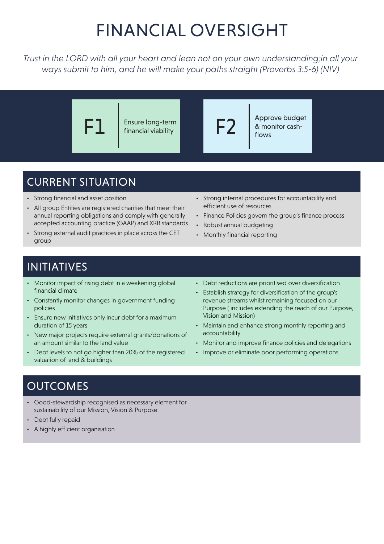# FINANCIAL OVERSIGHT

*Trust in the LORD with all your heart and lean not on your own understanding;in all your ways submit to him, and he will make your paths straight (Proverbs 3:5-6) (NIV)*



### CURRENT SITUATION

- Strong financial and asset position
- All group Entities are registered charities that meet their annual reporting obligations and comply with generally accepted accounting practice (GAAP) and XRB standards
- Strong external audit practices in place across the CET group
- Strong internal procedures for accountability and efficient use of resources
- Finance Policies govern the group's finance process
- Robust annual budgeting
- Monthly financial reporting

### INITIATIVES

- Monitor impact of rising debt in a weakening global financial climate
- Constantly monitor changes in government funding policies
- Ensure new initiatives only incur debt for a maximum duration of 15 years
- New major projects require external grants/donations of an amount similar to the land value
- Debt levels to not go higher than 20% of the registered valuation of land & buildings
- Debt reductions are prioritised over diversification
- Establish strategy for diversification of the group's revenue streams whilst remaining focused on our Purpose ( includes extending the reach of our Purpose, Vision and Mission)
- Maintain and enhance strong monthly reporting and accountability
- Monitor and improve finance policies and delegations
- Improve or eliminate poor performing operations

- Good-stewardship recognised as necessary element for sustainability of our Mission, Vision & Purpose
- Debt fully repaid
- A highly efficient organisation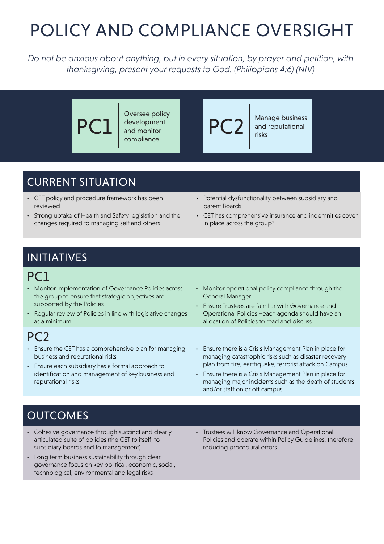# POLICY AND COMPLIANCE OVERSIGHT

*Do not be anxious about anything, but in every situation, by prayer and petition, with thanksgiving, present your requests to God. (Philippians 4:6) (NIV)*

> PC<sup>-</sup> Oversee policy development and monitor compliance PC2 Manage business and reputational risks

### CURRENT SITUATION

- CET policy and procedure framework has been reviewed
- Strong uptake of Health and Safety legislation and the changes required to managing self and others
- Potential dysfunctionality between subsidiary and parent Boards
- CET has comprehensive insurance and indemnities cover in place across the group?

### INITIATIVES

### PC1

- Monitor implementation of Governance Policies across the group to ensure that strategic objectives are supported by the Policies
- Regular review of Policies in line with legislative changes as a minimum

#### PC2

- Ensure the CET has a comprehensive plan for managing business and reputational risks
- Ensure each subsidiary has a formal approach to identification and management of key business and reputational risks
- Monitor operational policy compliance through the General Manager
- Ensure Trustees are familiar with Governance and Operational Policies –each agenda should have an allocation of Policies to read and discuss
- Ensure there is a Crisis Management Plan in place for managing catastrophic risks such as disaster recovery plan from fire, earthquake, terrorist attack on Campus
- Ensure there is a Crisis Management Plan in place for managing major incidents such as the death of students and/or staff on or off campus

- Cohesive governance through succinct and clearly articulated suite of policies (the CET to itself, to subsidiary boards and to management)
- Long term business sustainability through clear governance focus on key political, economic, social, technological, environmental and legal risks
- Trustees will know Governance and Operational Policies and operate within Policy Guidelines, therefore reducing procedural errors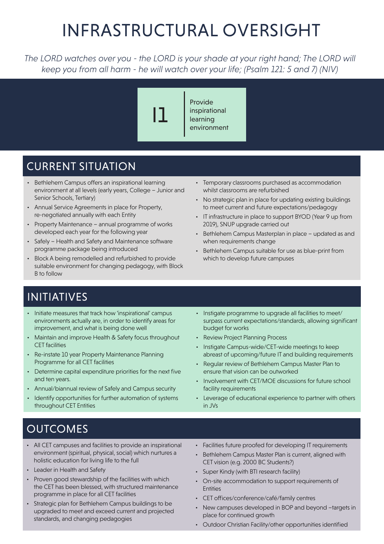# INFRASTRUCTURAL OVERSIGHT

The LORD watches over you - the LORD is your shade at your right hand; The LORD will *keep you from all harm - he will watch over your life; (Psalm 121: 5 and 7) (NIV)*

I1

Provide inspirational learning environment

### CURRENT SITUATION

- Bethlehem Campus offers an inspirational learning environment at all levels (early years, College – Junior and Senior Schools, Tertiary)
- Annual Service Agreements in place for Property, re-negotiated annually with each Entity
- Property Maintenance annual programme of works developed each year for the following year
- Safely Health and Safety and Maintenance software programme package being introduced
- Block A being remodelled and refurbished to provide suitable environment for changing pedagogy, with Block B to follow
- Temporary classrooms purchased as accommodation whilst classrooms are refurbished
- No strategic plan in place for updating existing buildings to meet current and future expectations/pedagogy
- IT infrastructure in place to support BYOD (Year 9 up from 2019), SNUP upgrade carried out
- Bethlehem Campus Masterplan in place updated as and when requirements change
- Bethlehem Campus suitable for use as blue-print from which to develop future campuses

### INITIATIVES

- Initiate measures that track how 'inspirational' campus environments actually are, in order to identify areas for improvement, and what is being done well
- Maintain and improve Health & Safety focus throughout CET facilities
- Re-instate 10 year Property Maintenance Planning Programme for all CET facilities
- Determine capital expenditure priorities for the next five and ten years.
- Annual/biannual review of Safely and Campus security
- Identify opportunities for further automation of systems throughout CET Entities
- Instigate programme to upgrade all facilities to meet/ surpass current expectations/standards, allowing significant budget for works
- Review Project Planning Process
- Instigate Campus-wide/CET-wide meetings to keep abreast of upcoming/future IT and building requirements
- Regular review of Bethlehem Campus Master Plan to ensure that vision can be outworked
- Involvement with CET/MOE discussions for future school facility requirements
- Leverage of educational experience to partner with others in JVs

- All CET campuses and facilities to provide an inspirational environment (spiritual, physical, social) which nurtures a holistic education for living life to the full
- Leader in Health and Safety
- Proven good stewardship of the facilities with which the CET has been blessed, with structured maintenance programme in place for all CET facilities
- Strategic plan for Bethlehem Campus buildings to be upgraded to meet and exceed current and projected standards, and changing pedagogies
- Facilities future proofed for developing IT requirements
- Bethlehem Campus Master Plan is current, aligned with CET vision (e.g. 2000 BC Students?)
- Super Kindy (with BTI research facility)
- On-site accommodation to support requirements of **Entities**
- CET offices/conference/café/family centres
- New campuses developed in BOP and beyond -targets in place for continued growth
- Outdoor Christian Facility/other opportunities identified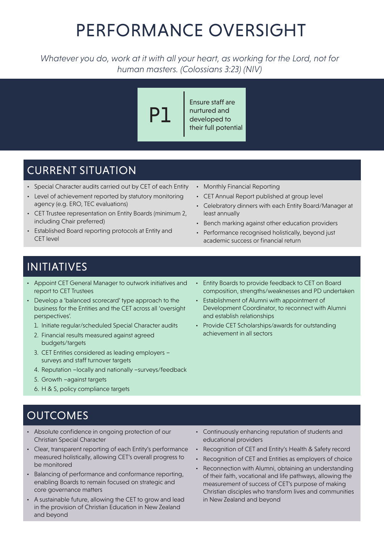## PERFORMANCE OVERSIGHT

*Whatever you do, work at it with all your heart, as working for the Lord, not for human masters. (Colossians 3:23) (NIV)*

# P1

Ensure staff are nurtured and developed to their full potential

### CURRENT SITUATION

- Special Character audits carried out by CET of each Entity
- Level of achievement reported by statutory monitoring agency (e.g. ERO, TEC evaluations)
- CET Trustee representation on Entity Boards (minimum 2, including Chair preferred)
- Established Board reporting protocols at Entity and CET level
- Monthly Financial Reporting
- CET Annual Report published at group level
- Celebratory dinners with each Entity Board/Manager at least annually
- Bench marking against other education providers
- Performance recognised holistically, beyond just academic success or financial return

### INITIATIVES

- Appoint CET General Manager to outwork initiatives and report to CET Trustees
- Develop a 'balanced scorecard' type approach to the business for the Entities and the CET across all 'oversight perspectives'.
	- 1. Initiate regular/scheduled Special Character audits
	- 2. Financial results measured against agreed budgets/targets
	- 3. CET Entities considered as leading employers surveys and staff turnover targets
	- 4. Reputation –locally and nationally –surveys/feedback
	- 5. Growth –against targets
	- 6. H & S, policy compliance targets
- Entity Boards to provide feedback to CET on Board composition, strengths/weaknesses and PD undertaken
- Establishment of Alumni with appointment of Development Coordinator, to reconnect with Alumni and establish relationships
- Provide CET Scholarships/awards for outstanding achievement in all sectors

- Absolute confidence in ongoing protection of our Christian Special Character
- Clear, transparent reporting of each Entity's performance measured holistically, allowing CET's overall progress to be monitored
- Balancing of performance and conformance reporting, enabling Boards to remain focused on strategic and core governance matters
- A sustainable future, allowing the CET to grow and lead in the provision of Christian Education in New Zealand and beyond
- Continuously enhancing reputation of students and educational providers
- Recognition of CET and Entity's Health & Safety record
- Recognition of CET and Entities as employers of choice
- Reconnection with Alumni, obtaining an understanding of their faith, vocational and life pathways, allowing the measurement of success of CET's purpose of making Christian disciples who transform lives and communities in New Zealand and beyond